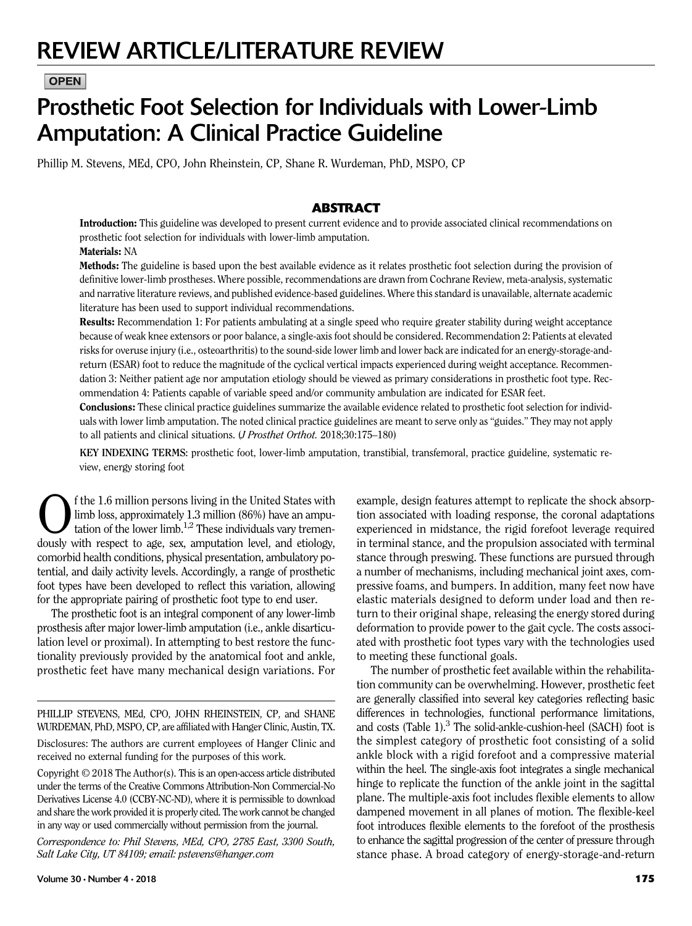# REVIEW ARTICLE/LITERATURE REVIEW

# **OPEN**

# Prosthetic Foot Selection for Individuals with Lower-Limb Amputation: A Clinical Practice Guideline

Phillip M. Stevens, MEd, CPO, John Rheinstein, CP, Shane R. Wurdeman, PhD, MSPO, CP

## ABSTRACT

Introduction: This guideline was developed to present current evidence and to provide associated clinical recommendations on prosthetic foot selection for individuals with lower-limb amputation.

Materials: NA

Methods: The guideline is based upon the best available evidence as it relates prosthetic foot selection during the provision of definitive lower-limb prostheses. Where possible, recommendations are drawn from Cochrane Review, meta-analysis, systematic and narrative literature reviews, and published evidence-based guidelines. Where this standard is unavailable, alternate academic literature has been used to support individual recommendations.

Results: Recommendation 1: For patients ambulating at a single speed who require greater stability during weight acceptance because of weak knee extensors or poor balance, a single-axis foot should be considered. Recommendation 2: Patients at elevated risks for overuse injury (i.e., osteoarthritis) to the sound-side lower limb and lower back are indicated for an energy-storage-andreturn (ESAR) foot to reduce the magnitude of the cyclical vertical impacts experienced during weight acceptance. Recommendation 3: Neither patient age nor amputation etiology should be viewed as primary considerations in prosthetic foot type. Recommendation 4: Patients capable of variable speed and/or community ambulation are indicated for ESAR feet.

Conclusions: These clinical practice guidelines summarize the available evidence related to prosthetic foot selection for individuals with lower limb amputation. The noted clinical practice guidelines are meant to serve only as "guides." They may not apply to all patients and clinical situations. (J Prosthet Orthot. 2018;30:175–180)

KEY INDEXING TERMS: prosthetic foot, lower-limb amputation, transtibial, transfemoral, practice guideline, systematic review, energy storing foot

 $\bigodot$  f the 1.6 million persons living in the United States with<br>limb loss, approximately 1.3 million (86%) have an ampu-<br>tation of the lower limb.<sup>1,2</sup> These individuals vary tremen-<br>double with respect to 26% some appr limb loss, approximately 1.3 million (86%) have an ampudously with respect to age, sex, amputation level, and etiology, comorbid health conditions, physical presentation, ambulatory potential, and daily activity levels. Accordingly, a range of prosthetic foot types have been developed to reflect this variation, allowing for the appropriate pairing of prosthetic foot type to end user.

The prosthetic foot is an integral component of any lower-limb prosthesis after major lower-limb amputation (i.e., ankle disarticulation level or proximal). In attempting to best restore the functionality previously provided by the anatomical foot and ankle, prosthetic feet have many mechanical design variations. For

PHILLIP STEVENS, MEd, CPO, JOHN RHEINSTEIN, CP, and SHANE WURDEMAN, PhD, MSPO, CP, are affiliated with Hanger Clinic, Austin, TX.

Disclosures: The authors are current employees of Hanger Clinic and received no external funding for the purposes of this work.

Copyright © 2018 The Author(s). This is an open-access article distributed under the terms of the [Creative Commons Attribution-Non Commercial-No](http://creativecommons.org/licenses/by-nc-nd/4.0/) [Derivatives License 4.0 \(CCBY-NC-ND\),](http://creativecommons.org/licenses/by-nc-nd/4.0/) where it is permissible to download and share the work provided it is properly cited. The work cannot be changed in any way or used commercially without permission from the journal.

Correspondence to: Phil Stevens, MEd, CPO, 2785 East, 3300 South, Salt Lake City, UT 84109; email: [pstevens@hanger.com](mailto:pstevens@hanger.com)

example, design features attempt to replicate the shock absorption associated with loading response, the coronal adaptations experienced in midstance, the rigid forefoot leverage required in terminal stance, and the propulsion associated with terminal stance through preswing. These functions are pursued through a number of mechanisms, including mechanical joint axes, compressive foams, and bumpers. In addition, many feet now have elastic materials designed to deform under load and then return to their original shape, releasing the energy stored during deformation to provide power to the gait cycle. The costs associated with prosthetic foot types vary with the technologies used to meeting these functional goals.

The number of prosthetic feet available within the rehabilitation community can be overwhelming. However, prosthetic feet are generally classified into several key categories reflecting basic differences in technologies, functional performance limitations, and costs (Table 1).<sup>3</sup> The solid-ankle-cushion-heel (SACH) foot is the simplest category of prosthetic foot consisting of a solid ankle block with a rigid forefoot and a compressive material within the heel. The single-axis foot integrates a single mechanical hinge to replicate the function of the ankle joint in the sagittal plane. The multiple-axis foot includes flexible elements to allow dampened movement in all planes of motion. The flexible-keel foot introduces flexible elements to the forefoot of the prosthesis to enhance the sagittal progression of the center of pressure through stance phase. A broad category of energy-storage-and-return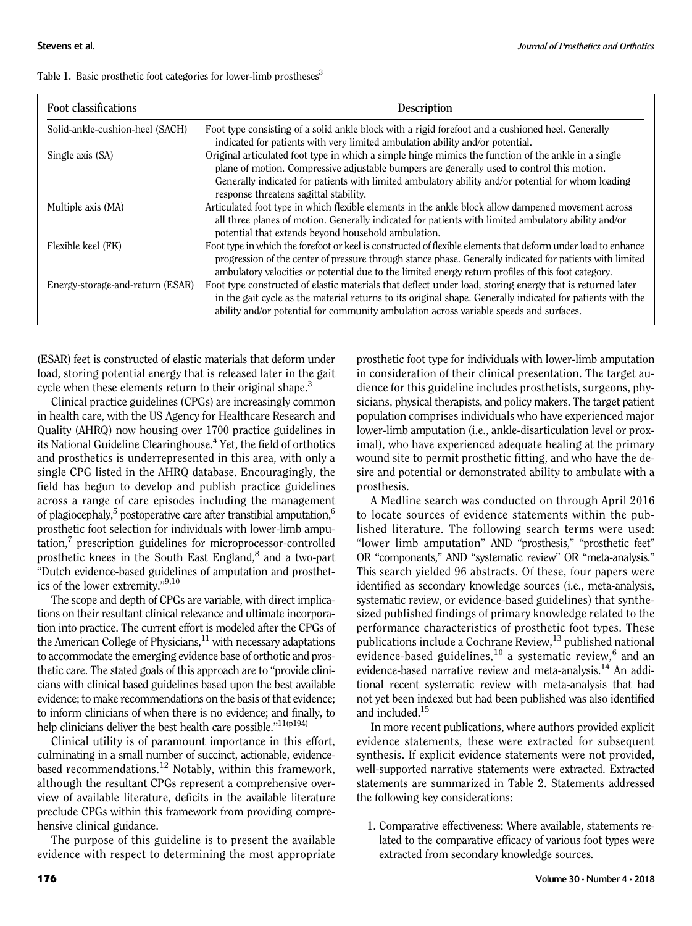|  |  |  |  |  |  |  |  | Table 1. Basic prosthetic foot categories for lower-limb prostheses <sup>3</sup> |
|--|--|--|--|--|--|--|--|----------------------------------------------------------------------------------|
|--|--|--|--|--|--|--|--|----------------------------------------------------------------------------------|

| Foot classifications             | Description                                                                                                                                                                                                                                                                                                                                       |
|----------------------------------|---------------------------------------------------------------------------------------------------------------------------------------------------------------------------------------------------------------------------------------------------------------------------------------------------------------------------------------------------|
| Solid-ankle-cushion-heel (SACH)  | Foot type consisting of a solid ankle block with a rigid forefoot and a cushioned heel. Generally<br>indicated for patients with very limited ambulation ability and/or potential.                                                                                                                                                                |
| Single axis (SA)                 | Original articulated foot type in which a simple hinge mimics the function of the ankle in a single<br>plane of motion. Compressive adjustable bumpers are generally used to control this motion.<br>Generally indicated for patients with limited ambulatory ability and/or potential for whom loading<br>response threatens sagittal stability. |
| Multiple axis (MA)               | Articulated foot type in which flexible elements in the ankle block allow dampened movement across<br>all three planes of motion. Generally indicated for patients with limited ambulatory ability and/or<br>potential that extends beyond household ambulation.                                                                                  |
| Flexible keel (FK)               | Foot type in which the forefoot or keel is constructed of flexible elements that deform under load to enhance<br>progression of the center of pressure through stance phase. Generally indicated for patients with limited<br>ambulatory velocities or potential due to the limited energy return profiles of this foot category.                 |
| Energy-storage-and-return (ESAR) | Foot type constructed of elastic materials that deflect under load, storing energy that is returned later<br>in the gait cycle as the material returns to its original shape. Generally indicated for patients with the<br>ability and/or potential for community ambulation across variable speeds and surfaces.                                 |

(ESAR) feet is constructed of elastic materials that deform under load, storing potential energy that is released later in the gait cycle when these elements return to their original shape.<sup>3</sup>

Clinical practice guidelines (CPGs) are increasingly common in health care, with the US Agency for Healthcare Research and Quality (AHRQ) now housing over 1700 practice guidelines in its National Guideline Clearinghouse.<sup>4</sup> Yet, the field of orthotics and prosthetics is underrepresented in this area, with only a single CPG listed in the AHRQ database. Encouragingly, the field has begun to develop and publish practice guidelines across a range of care episodes including the management of plagiocephaly,<sup>5</sup> postoperative care after transtibial amputation, $6$ prosthetic foot selection for individuals with lower-limb amputation,7 prescription guidelines for microprocessor-controlled prosthetic knees in the South East England,<sup>8</sup> and a two-part "Dutch evidence-based guidelines of amputation and prosthetics of the lower extremity."9,10

The scope and depth of CPGs are variable, with direct implications on their resultant clinical relevance and ultimate incorporation into practice. The current effort is modeled after the CPGs of the American College of Physicians,<sup>11</sup> with necessary adaptations to accommodate the emerging evidence base of orthotic and prosthetic care. The stated goals of this approach are to "provide clinicians with clinical based guidelines based upon the best available evidence; to make recommendations on the basis of that evidence; to inform clinicians of when there is no evidence; and finally, to help clinicians deliver the best health care possible."<sup>11(p194)</sup>

Clinical utility is of paramount importance in this effort, culminating in a small number of succinct, actionable, evidencebased recommendations.<sup>12</sup> Notably, within this framework, although the resultant CPGs represent a comprehensive overview of available literature, deficits in the available literature preclude CPGs within this framework from providing comprehensive clinical guidance.

The purpose of this guideline is to present the available evidence with respect to determining the most appropriate

prosthetic foot type for individuals with lower-limb amputation in consideration of their clinical presentation. The target audience for this guideline includes prosthetists, surgeons, physicians, physical therapists, and policy makers. The target patient population comprises individuals who have experienced major lower-limb amputation (i.e., ankle-disarticulation level or proximal), who have experienced adequate healing at the primary wound site to permit prosthetic fitting, and who have the desire and potential or demonstrated ability to ambulate with a prosthesis.

A Medline search was conducted on through April 2016 to locate sources of evidence statements within the published literature. The following search terms were used: "lower limb amputation" AND "prosthesis," "prosthetic feet" OR "components," AND "systematic review" OR "meta-analysis." This search yielded 96 abstracts. Of these, four papers were identified as secondary knowledge sources (i.e., meta-analysis, systematic review, or evidence-based guidelines) that synthesized published findings of primary knowledge related to the performance characteristics of prosthetic foot types. These publications include a Cochrane Review,<sup>13</sup> published national evidence-based guidelines,  $10$  a systematic review,  $6$  and an evidence-based narrative review and meta-analysis.<sup>14</sup> An additional recent systematic review with meta-analysis that had not yet been indexed but had been published was also identified and included.<sup>15</sup>

In more recent publications, where authors provided explicit evidence statements, these were extracted for subsequent synthesis. If explicit evidence statements were not provided, well-supported narrative statements were extracted. Extracted statements are summarized in Table 2. Statements addressed the following key considerations:

1. Comparative effectiveness: Where available, statements related to the comparative efficacy of various foot types were extracted from secondary knowledge sources.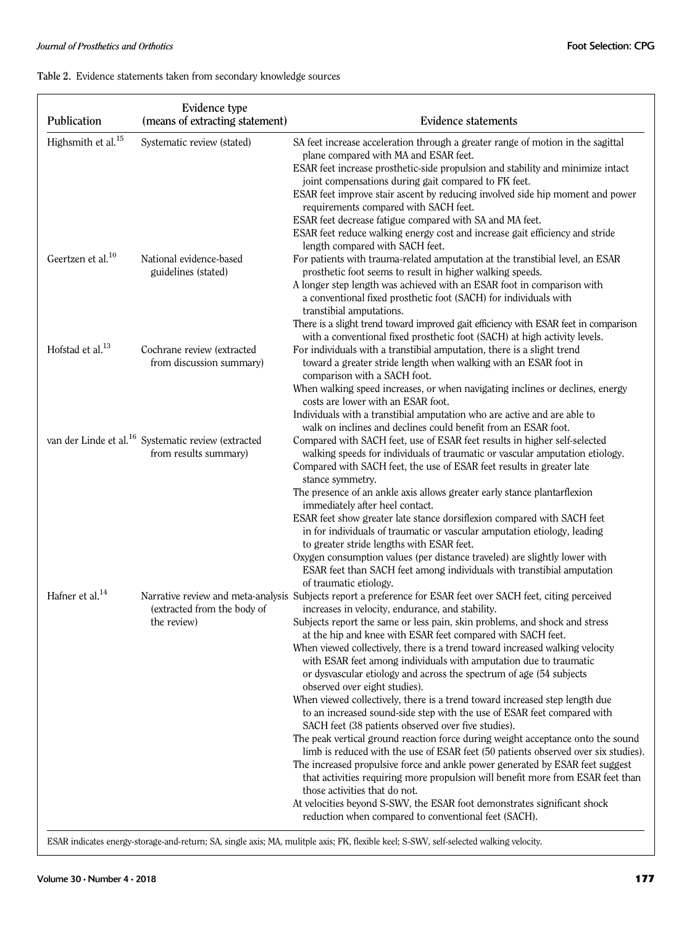|  |  | Table 2. Evidence statements taken from secondary knowledge sources |  |  |  |  |  |
|--|--|---------------------------------------------------------------------|--|--|--|--|--|
|--|--|---------------------------------------------------------------------|--|--|--|--|--|

| Publication                    | Evidence type<br>(means of extracting statement)                                         | Evidence statements                                                                                                                                                                                                                                                                                                                                                                                                                                                                                                                                                                                                                                                                                                                                                                                                                                                                                                                                                                                                                                                                                                                                                                                                                                                                                             |
|--------------------------------|------------------------------------------------------------------------------------------|-----------------------------------------------------------------------------------------------------------------------------------------------------------------------------------------------------------------------------------------------------------------------------------------------------------------------------------------------------------------------------------------------------------------------------------------------------------------------------------------------------------------------------------------------------------------------------------------------------------------------------------------------------------------------------------------------------------------------------------------------------------------------------------------------------------------------------------------------------------------------------------------------------------------------------------------------------------------------------------------------------------------------------------------------------------------------------------------------------------------------------------------------------------------------------------------------------------------------------------------------------------------------------------------------------------------|
| Highsmith et al. <sup>15</sup> | Systematic review (stated)                                                               | SA feet increase acceleration through a greater range of motion in the sagittal<br>plane compared with MA and ESAR feet.<br>ESAR feet increase prosthetic-side propulsion and stability and minimize intact<br>joint compensations during gait compared to FK feet.<br>ESAR feet improve stair ascent by reducing involved side hip moment and power<br>requirements compared with SACH feet.<br>ESAR feet decrease fatigue compared with SA and MA feet.<br>ESAR feet reduce walking energy cost and increase gait efficiency and stride<br>length compared with SACH feet.                                                                                                                                                                                                                                                                                                                                                                                                                                                                                                                                                                                                                                                                                                                                    |
| Geertzen et al. <sup>10</sup>  | National evidence-based<br>guidelines (stated)                                           | For patients with trauma-related amputation at the transtibial level, an ESAR<br>prosthetic foot seems to result in higher walking speeds.<br>A longer step length was achieved with an ESAR foot in comparison with<br>a conventional fixed prosthetic foot (SACH) for individuals with<br>transtibial amputations.<br>There is a slight trend toward improved gait efficiency with ESAR feet in comparison<br>with a conventional fixed prosthetic foot (SACH) at high activity levels.                                                                                                                                                                                                                                                                                                                                                                                                                                                                                                                                                                                                                                                                                                                                                                                                                       |
| Hofstad et al. <sup>13</sup>   | Cochrane review (extracted<br>from discussion summary)                                   | For individuals with a transtibial amputation, there is a slight trend<br>toward a greater stride length when walking with an ESAR foot in<br>comparison with a SACH foot.<br>When walking speed increases, or when navigating inclines or declines, energy<br>costs are lower with an ESAR foot.<br>Individuals with a transtibial amputation who are active and are able to                                                                                                                                                                                                                                                                                                                                                                                                                                                                                                                                                                                                                                                                                                                                                                                                                                                                                                                                   |
|                                | van der Linde et al. <sup>16</sup> Systematic review (extracted<br>from results summary) | walk on inclines and declines could benefit from an ESAR foot.<br>Compared with SACH feet, use of ESAR feet results in higher self-selected<br>walking speeds for individuals of traumatic or vascular amputation etiology.<br>Compared with SACH feet, the use of ESAR feet results in greater late<br>stance symmetry.<br>The presence of an ankle axis allows greater early stance plantarflexion<br>immediately after heel contact.<br>ESAR feet show greater late stance dorsiflexion compared with SACH feet<br>in for individuals of traumatic or vascular amputation etiology, leading<br>to greater stride lengths with ESAR feet.<br>Oxygen consumption values (per distance traveled) are slightly lower with<br>ESAR feet than SACH feet among individuals with transtibial amputation<br>of traumatic etiology.                                                                                                                                                                                                                                                                                                                                                                                                                                                                                    |
| Hafner et al. <sup>14</sup>    | (extracted from the body of<br>the review)                                               | Narrative review and meta-analysis Subjects report a preference for ESAR feet over SACH feet, citing perceived<br>increases in velocity, endurance, and stability.<br>Subjects report the same or less pain, skin problems, and shock and stress<br>at the hip and knee with ESAR feet compared with SACH feet.<br>When viewed collectively, there is a trend toward increased walking velocity<br>with ESAR feet among individuals with amputation due to traumatic<br>or dysvascular etiology and across the spectrum of age (54 subjects<br>observed over eight studies).<br>When viewed collectively, there is a trend toward increased step length due<br>to an increased sound-side step with the use of ESAR feet compared with<br>SACH feet (38 patients observed over five studies).<br>The peak vertical ground reaction force during weight acceptance onto the sound<br>limb is reduced with the use of ESAR feet (50 patients observed over six studies).<br>The increased propulsive force and ankle power generated by ESAR feet suggest<br>that activities requiring more propulsion will benefit more from ESAR feet than<br>those activities that do not.<br>At velocities beyond S-SWV, the ESAR foot demonstrates significant shock<br>reduction when compared to conventional feet (SACH). |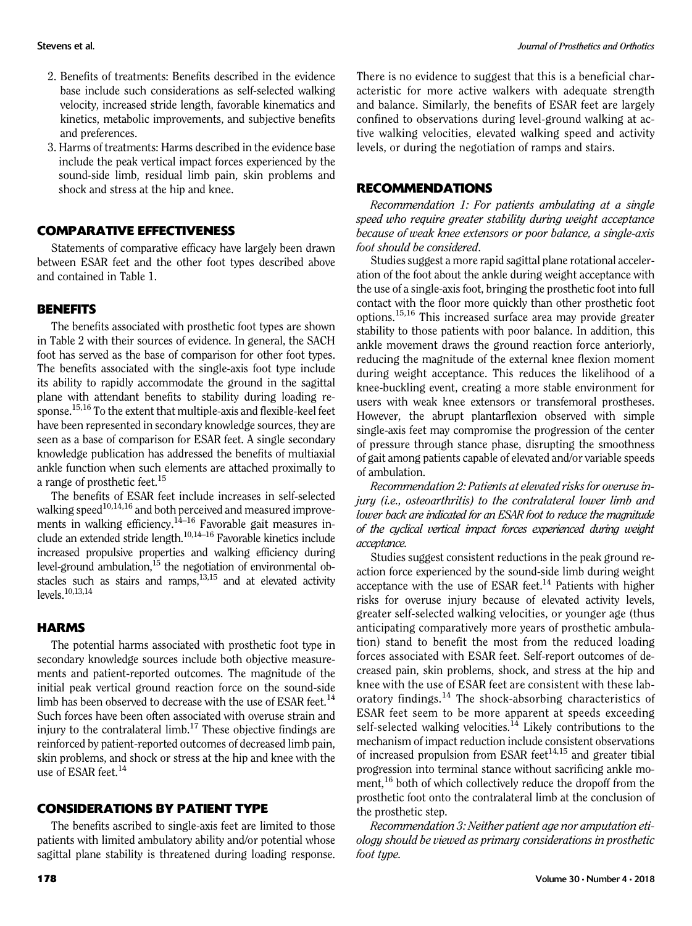- 2. Benefits of treatments: Benefits described in the evidence base include such considerations as self-selected walking velocity, increased stride length, favorable kinematics and kinetics, metabolic improvements, and subjective benefits and preferences.
- 3. Harms of treatments: Harms described in the evidence base include the peak vertical impact forces experienced by the sound-side limb, residual limb pain, skin problems and shock and stress at the hip and knee.

## COMPARATIVE EFFECTIVENESS

Statements of comparative efficacy have largely been drawn between ESAR feet and the other foot types described above and contained in Table 1.

#### BENEFITS

The benefits associated with prosthetic foot types are shown in Table 2 with their sources of evidence. In general, the SACH foot has served as the base of comparison for other foot types. The benefits associated with the single-axis foot type include its ability to rapidly accommodate the ground in the sagittal plane with attendant benefits to stability during loading response.15,16 To the extent that multiple-axis and flexible-keel feet have been represented in secondary knowledge sources, they are seen as a base of comparison for ESAR feet. A single secondary knowledge publication has addressed the benefits of multiaxial ankle function when such elements are attached proximally to a range of prosthetic feet.<sup>15</sup>

The benefits of ESAR feet include increases in self-selected walking speed $10,14,16$  and both perceived and measured improvements in walking efficiency.<sup>14–16</sup> Favorable gait measures include an extended stride length.<sup>10,14–16</sup> Favorable kinetics include increased propulsive properties and walking efficiency during level-ground ambulation,<sup>15</sup> the negotiation of environmental obstacles such as stairs and ramps,<sup>13,15</sup> and at elevated activity levels.10,13,14

#### **HARMS**

The potential harms associated with prosthetic foot type in secondary knowledge sources include both objective measurements and patient-reported outcomes. The magnitude of the initial peak vertical ground reaction force on the sound-side limb has been observed to decrease with the use of ESAR feet.<sup>14</sup> Such forces have been often associated with overuse strain and injury to the contralateral limb.<sup>17</sup> These objective findings are reinforced by patient-reported outcomes of decreased limb pain, skin problems, and shock or stress at the hip and knee with the use of ESAR feet.<sup>14</sup>

# CONSIDERATIONS BY PATIENT TYPE

The benefits ascribed to single-axis feet are limited to those patients with limited ambulatory ability and/or potential whose sagittal plane stability is threatened during loading response.

There is no evidence to suggest that this is a beneficial characteristic for more active walkers with adequate strength and balance. Similarly, the benefits of ESAR feet are largely confined to observations during level-ground walking at active walking velocities, elevated walking speed and activity levels, or during the negotiation of ramps and stairs.

#### RECOMMENDATIONS

Recommendation 1: For patients ambulating at a single speed who require greater stability during weight acceptance because of weak knee extensors or poor balance, a single-axis foot should be considered.

Studies suggest a more rapid sagittal plane rotational acceleration of the foot about the ankle during weight acceptance with the use of a single-axis foot, bringing the prosthetic foot into full contact with the floor more quickly than other prosthetic foot options.15,16 This increased surface area may provide greater stability to those patients with poor balance. In addition, this ankle movement draws the ground reaction force anteriorly, reducing the magnitude of the external knee flexion moment during weight acceptance. This reduces the likelihood of a knee-buckling event, creating a more stable environment for users with weak knee extensors or transfemoral prostheses. However, the abrupt plantarflexion observed with simple single-axis feet may compromise the progression of the center of pressure through stance phase, disrupting the smoothness of gait among patients capable of elevated and/or variable speeds of ambulation.

Recommendation 2: Patients at elevated risks for overuse injury (i.e., osteoarthritis) to the contralateral lower limb and lower back are indicated for an ESAR foot to reduce the magnitude of the cyclical vertical impact forces experienced during weight acceptance.

Studies suggest consistent reductions in the peak ground reaction force experienced by the sound-side limb during weight acceptance with the use of ESAR feet.<sup>14</sup> Patients with higher risks for overuse injury because of elevated activity levels, greater self-selected walking velocities, or younger age (thus anticipating comparatively more years of prosthetic ambulation) stand to benefit the most from the reduced loading forces associated with ESAR feet. Self-report outcomes of decreased pain, skin problems, shock, and stress at the hip and knee with the use of ESAR feet are consistent with these laboratory findings.<sup>14</sup> The shock-absorbing characteristics of ESAR feet seem to be more apparent at speeds exceeding self-selected walking velocities.<sup>14</sup> Likely contributions to the mechanism of impact reduction include consistent observations of increased propulsion from ESAR feet $14,15$  and greater tibial progression into terminal stance without sacrificing ankle moment.<sup>16</sup> both of which collectively reduce the dropoff from the prosthetic foot onto the contralateral limb at the conclusion of the prosthetic step.

Recommendation 3: Neither patient age nor amputation etiology should be viewed as primary considerations in prosthetic foot type.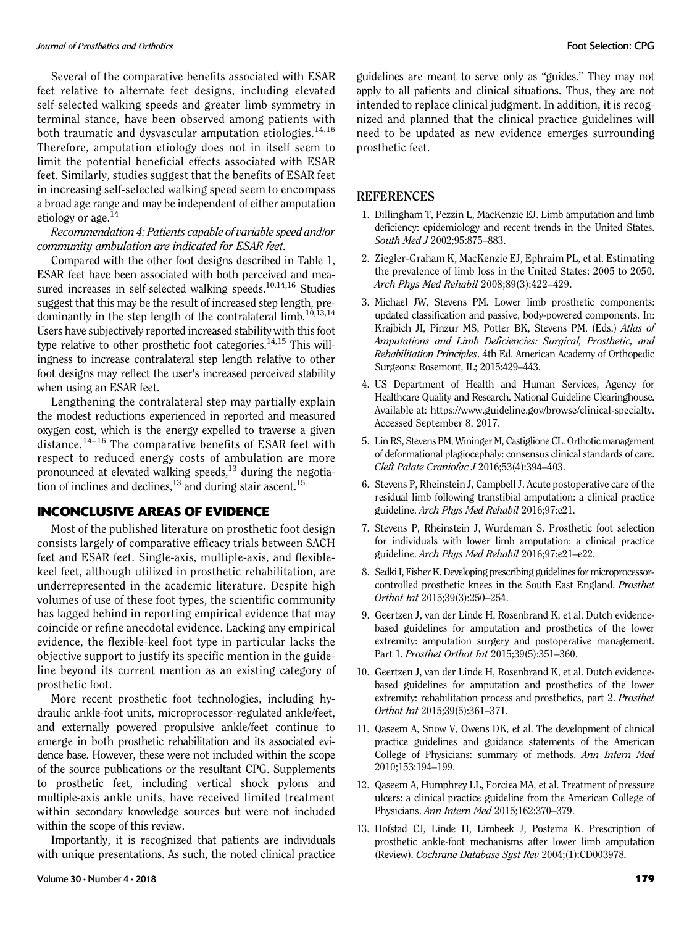#### Journal of Prosthetics and Orthotics Foot Selection: CPG

Several of the comparative benefits associated with ESAR feet relative to alternate feet designs, including elevated self-selected walking speeds and greater limb symmetry in terminal stance, have been observed among patients with both traumatic and dysvascular amputation etiologies.<sup>14,16</sup> Therefore, amputation etiology does not in itself seem to limit the potential beneficial effects associated with ESAR feet. Similarly, studies suggest that the benefits of ESAR feet in increasing self-selected walking speed seem to encompass a broad age range and may be independent of either amputation etiology or age. $^{14}$ 

#### Recommendation 4: Patients capable of variable speed and/or community ambulation are indicated for ESAR feet.

Compared with the other foot designs described in Table 1, ESAR feet have been associated with both perceived and measured increases in self-selected walking speeds. $10,14,16$  Studies suggest that this may be the result of increased step length, predominantly in the step length of the contralateral limb.<sup>10,13,14</sup> Users have subjectively reported increased stability with this foot type relative to other prosthetic foot categories.<sup>14,15</sup> This willingness to increase contralateral step length relative to other foot designs may reflect the user's increased perceived stability when using an ESAR feet.

Lengthening the contralateral step may partially explain the modest reductions experienced in reported and measured oxygen cost, which is the energy expelled to traverse a given distance.<sup>14–16</sup> The comparative benefits of ESAR feet with respect to reduced energy costs of ambulation are more pronounced at elevated walking speeds, $^{13}$  during the negotiation of inclines and declines, $^{13}$  and during stair ascent. $^{15}$ 

#### INCONCLUSIVE AREAS OF EVIDENCE

Most of the published literature on prosthetic foot design consists largely of comparative efficacy trials between SACH feet and ESAR feet. Single-axis, multiple-axis, and flexiblekeel feet, although utilized in prosthetic rehabilitation, are underrepresented in the academic literature. Despite high volumes of use of these foot types, the scientific community has lagged behind in reporting empirical evidence that may coincide or refine anecdotal evidence. Lacking any empirical evidence, the flexible-keel foot type in particular lacks the objective support to justify its specific mention in the guideline beyond its current mention as an existing category of prosthetic foot.

More recent prosthetic foot technologies, including hydraulic ankle-foot units, microprocessor-regulated ankle/feet, and externally powered propulsive ankle/feet continue to emerge in both prosthetic rehabilitation and its associated evidence base. However, these were not included within the scope of the source publications or the resultant CPG. Supplements to prosthetic feet, including vertical shock pylons and multiple-axis ankle units, have received limited treatment within secondary knowledge sources but were not included within the scope of this review.

Importantly, it is recognized that patients are individuals with unique presentations. As such, the noted clinical practice

guidelines are meant to serve only as "guides." They may not apply to all patients and clinical situations. Thus, they are not intended to replace clinical judgment. In addition, it is recognized and planned that the clinical practice guidelines will need to be updated as new evidence emerges surrounding prosthetic feet.

#### **REFERENCES**

- 1. Dillingham T, Pezzin L, MacKenzie EJ. Limb amputation and limb deficiency: epidemiology and recent trends in the United States. South Med J 2002;95:875–883.
- 2. Ziegler-Graham K, MacKenzie EJ, Ephraim PL, et al. Estimating the prevalence of limb loss in the United States: 2005 to 2050. Arch Phys Med Rehabil 2008;89(3):422–429.
- 3. Michael JW, Stevens PM. Lower limb prosthetic components: updated classification and passive, body-powered components. In: Krajbich JI, Pinzur MS, Potter BK, Stevens PM, (Eds.) Atlas of Amputations and Limb Deficiencies: Surgical, Prosthetic, and Rehabilitation Principles. 4th Ed. American Academy of Orthopedic Surgeons: Rosemont, IL; 2015:429–443.
- 4. US Department of Health and Human Services, Agency for Healthcare Quality and Research. National Guideline Clearinghouse. Available at: [https://www.guideline.gov/browse/clinical-specialty](http://). Accessed September 8, 2017.
- 5. Lin RS, Stevens PM, Wininger M, Castiglione CL. Orthotic management of deformational plagiocephaly: consensus clinical standards of care. Cleft Palate Craniofac J 2016;53(4):394–403.
- 6. Stevens P, Rheinstein J, Campbell J. Acute postoperative care of the residual limb following transtibial amputation: a clinical practice guideline. Arch Phys Med Rehabil 2016;97:e21.
- 7. Stevens P, Rheinstein J, Wurdeman S. Prosthetic foot selection for individuals with lower limb amputation: a clinical practice guideline. Arch Phys Med Rehabil 2016;97:e21–e22.
- 8. Sedki I, Fisher K. Developing prescribing guidelines for microprocessorcontrolled prosthetic knees in the South East England. Prosthet Orthot Int 2015;39(3):250–254.
- 9. Geertzen J, van der Linde H, Rosenbrand K, et al. Dutch evidencebased guidelines for amputation and prosthetics of the lower extremity: amputation surgery and postoperative management. Part 1. Prosthet Orthot Int 2015;39(5):351–360.
- 10. Geertzen J, van der Linde H, Rosenbrand K, et al. Dutch evidencebased guidelines for amputation and prosthetics of the lower extremity: rehabilitation process and prosthetics, part 2. Prosthet Orthot Int 2015;39(5):361–371.
- 11. Qaseem A, Snow V, Owens DK, et al. The development of clinical practice guidelines and guidance statements of the American College of Physicians: summary of methods. Ann Intern Med 2010;153:194–199.
- 12. Qaseem A, Humphrey LL, Forciea MA, et al. Treatment of pressure ulcers: a clinical practice guideline from the American College of Physicians. Ann Intern Med 2015;162:370–379.
- 13. Hofstad CJ, Linde H, Limbeek J, Postema K. Prescription of prosthetic ankle-foot mechanisms after lower limb amputation (Review). Cochrane Database Syst Rev 2004;(1):CD003978.